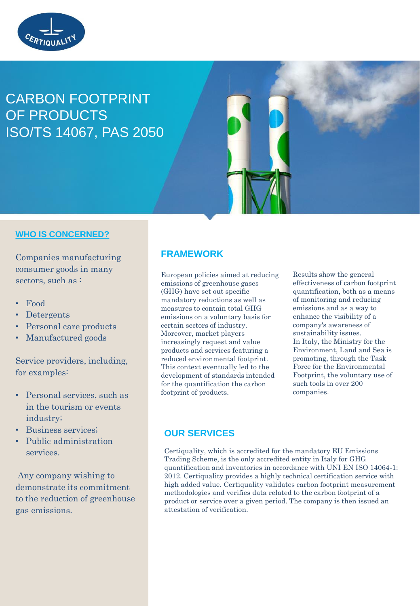

# CARBON FOOTPRINT OF PRODUCTS ISO/TS 14067, PAS 2050

## **WHO IS CONCERNED?**

Companies manufacturing consumer goods in many sectors, such as:

- Food
- Detergents
- Personal care products
- Manufactured goods

Service providers, including, for examples:

- Personal services, such as in the tourism or events industry;
- Business services;
- Public administration services.

Any company wishing to demonstrate its commitment to the reduction of greenhouse gas emissions.

## **FRAMEWORK**

European policies aimed at reducing emissions of greenhouse gases (GHG) have set out specific mandatory reductions as well as measures to contain total GHG emissions on a voluntary basis for certain sectors of industry. Moreover, market players increasingly request and value products and services featuring a reduced environmental footprint. This context eventually led to the development of standards intended for the quantification the carbon footprint of products.

Results show the general effectiveness of carbon footprint quantification, both as a means of monitoring and reducing emissions and as a way to enhance the visibility of a company's awareness of sustainability issues. In Italy, the Ministry for the Environment, Land and Sea is promoting, through the Task Force for the Environmental Footprint, the voluntary use of such tools in over 200 companies.

## **OUR SERVICES**

Certiquality, which is accredited for the mandatory EU Emissions Trading Scheme, is the only accredited entity in Italy for GHG quantification and inventories in accordance with UNI EN ISO 14064-1: 2012. Certiquality provides a highly technical certification service with high added value. Certiquality validates carbon footprint measurement methodologies and verifies data related to the carbon footprint of a product or service over a given period. The company is then issued an attestation of verification.